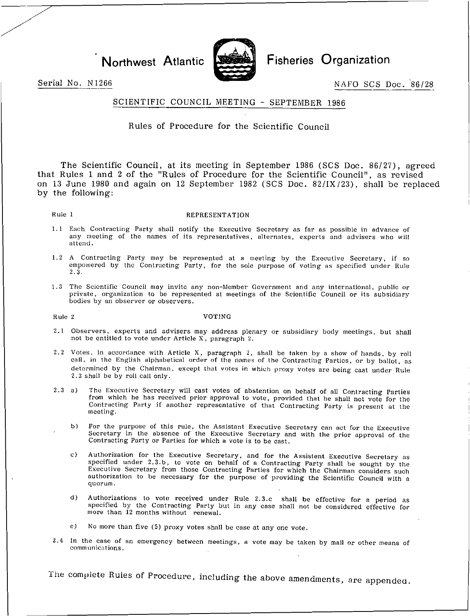Northwest Atlantic



Fisheries Organization

NAFO SCS Doc. 86/28

Serial No. N 1266

# SCIENTIFIC COUNCIL MEETING - SEPTEMBER 1986

# Rules of Procedure for the Scientific Council

The Scientific Council, at its meeting in September 1986 (SCS Doc. 86/27), agreed that Rules 1 and 2 of the "Rules of Procedure for the Scientific Council", as revised on 13 June 1980 and again on 12 September 1982 (SCS Doc. 82/IX/23), shall be replaced by the following:

# Rule 1 REPRESENTATION

- 1.1 Each Contracting Party shall notify the Executive Secretary as far as possible in advance of any meeting of the names of its representatives, alternates, experts and advisers who will attend.
- 1.2 A Contracting Party may be represented at a meeting by the Executive Secretary, if so empowered by the Contracting Party, for the sole purpose of voting as specified under Rule 2.3.
- 1.3 The Scientific Council may invite any non-Member Government and any international, public or private, organization to be represented at meetings of the Scientific Council or its subsidiary bodies by an observer or observers.

### Rule 2 VOTING

- 2.1 Observers, experts and advisers may address plenary or subsidiary body meetings, but shall not be entitled to vote under Article X, paragraph 2.
- 2.2 Votes. in accordance with Article X, paragraph 2, shall be taken by a show of hands, by roll call, in the English alphabetical order of the names of the Contracting Parties, or by ballot, as determined by the Chairman, except that votes in which proxy votes are being cast under Rule 2.3 shall be by roll call only.
- 2.3 a) The Executive Secretary will cast votes of abstention on behalf of all Contracting Parties from which he has received prior approval to vote, provided that he shall not vote for the Contracting Party if another representative of that Contracting Party is present at the meeting.
	- b) For the purpose of this rule, the Assistant Executive Secretary can act for the Executive Secretary in the absence of the Executive Secretary and with the prior approval of the Contracting Party or Parties for which a vote is to be cast.
	- c) Authorization for the Executive Secretary, and for the Assistent Executive Secretary as specified under 2.3.b, to vote on behalf of a Contracting Party shall be sought by the Executive Secretary from those Contracting Parties for which the Chairman considers such authorization to be necessary for the purpose of providing the Scientific Council with a quorum.
	- d) Authorizations to vote received under Rule 2.3.e shall be effective for a period as specified by the Contracting Party but in any case shall not be considered effective for more than  $12$  months without renewal.
	- e) No more than five (5) proxy votes shall be case at any one vote.
- 2.4 In the case of an emergency between meetings, a vote may be taken by mail or other means of communications.

The complete Rules of Procedure, including the above amendments, are appended.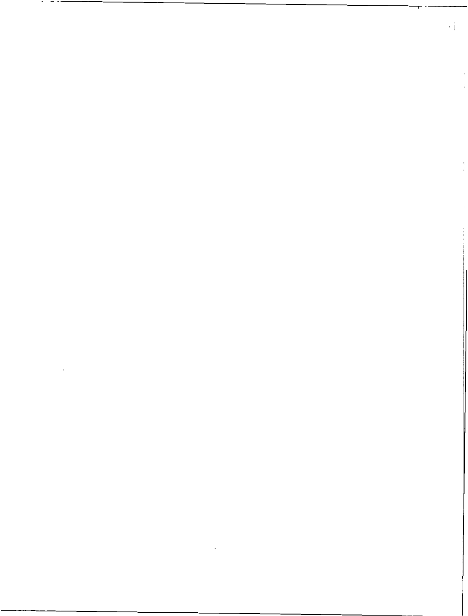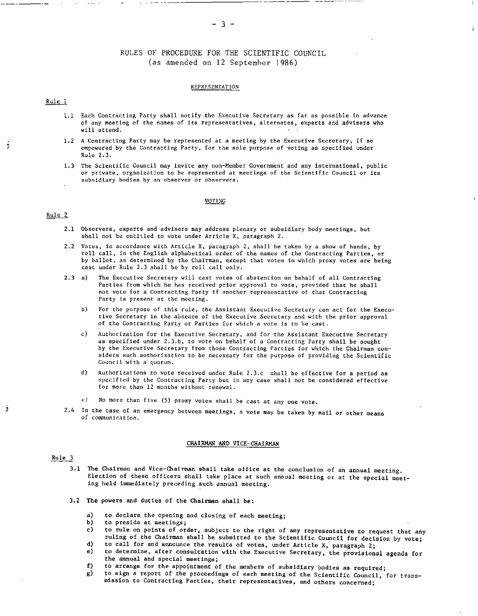# RULES OF PROCEDURE FOR THE SCIENTIFIC COUNCIL (as amended on 12 September 1986)

## REPRESENTATION

## Rule 1

Ĵ,

ä

- 1.1 Each Contracting Party shall notify the Executive Secretary as far as possible in advance of any meeting of the names of its representatives, alternates, experts and advisers who will attend.
- 1.2 A Contracting Party may be represented at a meeting by the Executive Secretary, if so empowered by the Contracting Party, for the sole purpose of voting as specified under Rule 2.3.
- 1.3 The Scientific Council may invite any non-Member Government and any international, public or private, organization to be represented at meetings of the Scientific Council or its subsidiary bodies by an observer or observers.

#### VOTING

## Rule 2

- 2.1 Observers, experts and advisers may address plenary or subsidiary body meetings, but shall not be entitled to vote under Article X, paragraph 2.
- 2.2 Votes, in accordance with Article X, paragraph 2, shall be taken by a show of hands, by roll call, in the English alphabetical order of the names of the Contracting Parties, or by ballot, as determined by the Chairman, except that votes in which proxy votes are being cast under Rule 2.3 shall be by roll call only.
- 2.3 a) The Executive Secretary will cast votes of abstention on behalf of all Contracting Parties from which he has received prior approval to vote, provided that he shall not vote for a Contracting Party if another representative of that Contracting Party is present at the meeting.
	- b) For the purpose of this rule, the Assistant Executive Secretary can act for the Executive Secretary in the absence of the Executive Secretary and with the prior approval of the Contracting Party or Parties for which a vote is to be cast.
	- c) Authorization for the Executive Secretary, and for the Assistant Executive Secretary as specified under 2.3.b, to vote on behalf of a Contracting Party shall be sought by the Executive Secretary from those Contracting Parties for which the Chairman considers such authorization to be necessary for the purpose of providing the Scientific Council with a quorum.
	- d) Authorizations to vote received under Rule 2.3.c shall be effective for a period as specified by the Contracting Party but in any case shall not be considered effective for more than 12 months without renewal.
	- e) No more than five (5) proxy votes shall be cast at any one vote.
- 2.4 In the case of an emergency between meetings, a vote may be taken by mail or other means of communication.

#### CHAIRMAN AND VICE-CHAIRMAN

#### Rule 3

- 3.1 The Chairman and Vice-Chairman shall take office at the conclusion of an annual meeting. Election of these officers shall take place at such annual meeting or at the special meeting held immediately preceding such annual meeting.
- 3.2 The powers and duties of the Chairman shall be:
	- a) to declare the opening and closing of each meeting;<br>b) to preside at meetings;
	- b) to preside at meetings;<br>c) to rule on points of ore
	- to rule on points of order, subject to the right of any representative to request that any ruling of the Chairman shall be submitted to the Scientific Council for decision by vote;
	- d) to call for and announce the results of votes, under Article X, paragraph 2;<br>e) to determine, after consultation with the Executive Secretary, the providion
	- to determine, after consultation with the Executive Secretary, the provisional agenda for the annual and special meetings;
	- f) to arrange for the appointment of the members of subsidiary bodies as required;
	- to sign a report of the proceedings of each meeting of the Scientific Council, for transmission to Contracting Parties, their representatives, and others concerned;

## $-3 -$

ì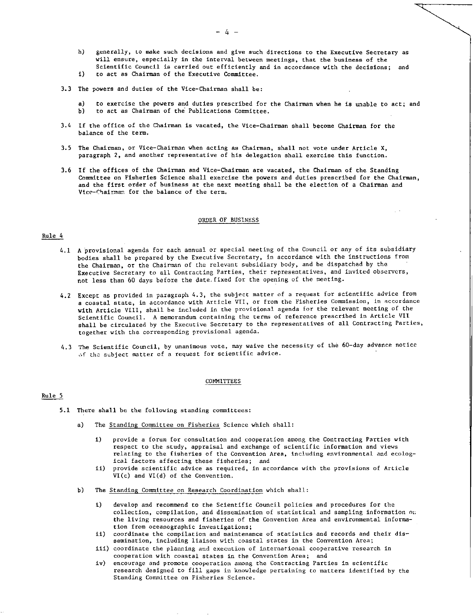- h) generally, to make such decisions and give such directions to the Executive Secretary as will ensure, especially in the interval between meetings, that the business of the Scientific Council is carried out efficiently and in accordance with the decisions; and i) to act as Chairman of the Executive Committee.
- 3.3 The powers and duties of the Vice-Chairman shall be:
	- a) to exercise the powers and duties prescribed for the Chairman when he is unable to act; and b) to act as Chairman of the Publications Committee.
- 3.4 If the office of the Chairman is vacated, the Vice-Chairman shall become Chairman for the balance of the term.
- 3.5 The Chairman, or Vice-Chairman when acting as Chairman, shall not vote under Article X, paragraph 2, and another representative of his delegation shall exercise this function.
- 3.6 If the offices of the Chairman and Vice-Chairman are vacated, the Chairman of the Standing Committee on Fisheries Science shall exercise the powers and duties prescribed for the Chairman, and the first order of business at the next meeting shall be the election of a Chairman and Vice-Chairman for the balance of the term.

#### ORDER OF BUSINESS

#### Rule 4

- 4.1 A provisional agenda for each annual or special meeting of the Council or any of its subsidiary bodies shall be prepared by the Executive Secretary, in accordance with the instructions from the Chairman, or the Chairman of the relevant subsidiary body, and be dispatched by the Executive Secretary to all Contracting Parties, their representatives, and invited observers, not less than 60 days before the date, fixed for the opening of the meeting.
- 4.2 Except as provided in paragraph 4.3, the subject matter of a request for scientific advice from a coastal state, in accordance with Article VII, or from the Fisheries Commission, in accordance with Article VIII, shall be included in the provisional agenda for the relevant meeting of the Scientific Council. A memorandum containing the terms of reference prescribed in Article VII shall be circulated by the Executive Secretary to the representatives of all Contracting Parties, together with the corresponding provisional agenda.
- 4.3 The Scientific Council, by unanimous vote, may waive the necessity of the 60-day advance notice of the subject matter of a request for scientific advice.

#### COMMITTEES

#### Rule 5

- 5.1 There shall be the following standing committees:
	- a) The Standing Committee on Fisheries Science which shall:
		- i) provide a forum for consultation and cooperation among the Contracting Parties with respect to the study, appraisal and exchange of scientific information and views relating to the fisheries of the Convention Area, including environmental and ecological factors affecting these fisheries; and
		- ii) provide scientific advice as required, in accordance with the provisions of Article VI(c) and VI(d) of the Convention.
	- b) The Standing Committee on Research Coordination which shall:
		- i) develop and recommend to the Scientific Council policies and procedures for the collection, compilation, and dissemination of statistical and sampling information on the living resources and fisheries of the Convention Area and environmental information from oceanographic investigations;
		- ii) coordinate the compilation and maintenance of statistics and records and their dissemination, including liaison with coastal states in the Convention Area;
		- iii) coordinate the planning and execution of international cooperative research in cooperation with coastal states in the Convention Area; and
		- iv) encourage and promote cooperation among the Contracting Parties in scientific research designed to fill gaps in knowledge pertaining to matters identified by the Standing Committee on Fisheries Science.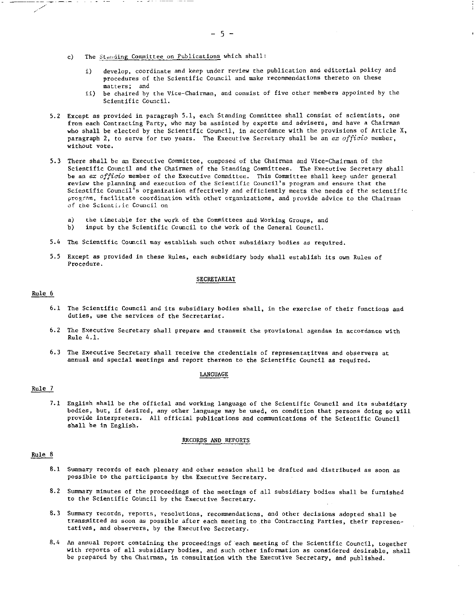c) The Standing Committee on Publications which shall:

- - -

- i) develop, coordinate and keep under review the publication and editorial policy and procedures of the Scientific Council and make recommendations thereto on these matters; and
- ii) be chaired by the Vice-Chairman, and consist of five other members appointed by the Scientific Council.
- 5.2 Except as provided in paragraph 5.1, each Standing Committee shall consist of scientists, one from each Contracting Party, who may be assisted by experts and advisers, and have a Chairman who shall be elected by the Scientific Council, in accordance with the provisions of Article X, paragraph 2, to serve for two years. The Executive Secretary shall be an *ex officio* member, without vote.
- 5.3 There shall be an Executive Committee, composed of the Chairman and Vice-Chairman of the Scientific Council and the Chairmen of the Standing Committees. The Executive Secretary shall be an *ex officio* member of the Executive Committee. This Committee shall keep under general review the planning and execution of the Scientific Council's program and ensure that the Scientific Council's organization effectively and efficiently meets the needs of the scientific program, facilitate coordination with other organizations, and provide advice to the Chairman of the Scientilic Council on
	- a) the timetable for the work of the Committees and Working Groups, and
	- b) input by the Scientific Council to the work of the General Council.
- 5.4 The Scientific Council may establish such other subsidiary bodies as required.
- 5.5 Except as provided in these Rules, each subsidiary body shall establish its own Rules of Procedure.

#### SECRETARIAT

#### Rule 6

- 6.1 The Scientific Council and its subsidiary bodies shall, in the exercise of their functions and duties, use the services of the Secretariat.
- 6.2 The Executive Secretary shall prepare and transmit the provisional agendas in accordance with Rule 4.1.
- 6.3 The Executive Secretary shall receive the credentials of representatitves and observers at annual and special meetings and report thereon to the Scientific Council as required.

#### LANGUAGE

#### Rule 7

7.1 English shall be the official and working language of the Scientific Council and its subsidiary bodies, but, if desired, any other language may be used, on condition that persons doing so will provide interpreters. All official publications and communications of the Scientific Council shall be in English.

### RECORDS AND REPORTS

## Rule 8

- 8.1 Summary records of each plenary and other session shall be drafted and distributed as soon as possible to the participants by the Executive Secretary.
- 8.2 Summary minutes of the proceedings of the meetings of all subsidiary bodies shall be furnished to the Scientific Council by the Executive Secretary.
- 8.3 Summary records, reports, resolutions, recommendations, and other decisions adopted shall be transmitted as soon as possible after each meeting to .the Contracting Parties, their representatives, and observers, by the Executive Secretary.
- 8.4 An annual report containing the proceedings of 'each meeting of the Scientific Council, together with reports of all subsidiary bodies, and such other information as considered desirable, shall be prepared by the Chairman, in consultation with the Executive Secretary, and published.